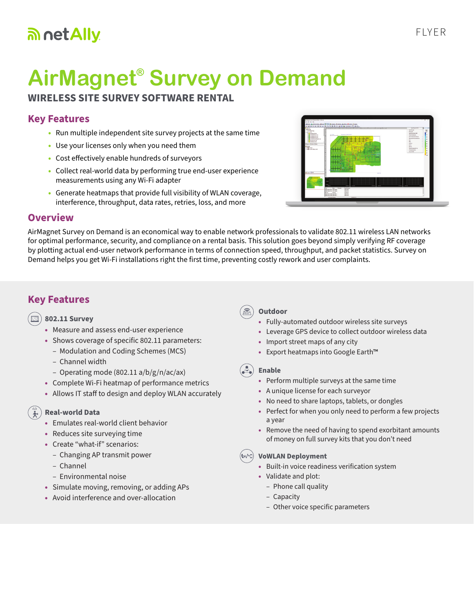# an net Ally

# **AirMagnet® Survey on Demand**

## **WIRELESS SITE SURVEY SOFTWARE RENTAL**

# **Key Features**

- Run multiple independent site survey projects at the same time
- Use your licenses only when you need them
- Cost effectively enable hundreds of surveyors
- Collect real-world data by performing true end-user experience measurements using any Wi-Fi adapter
- Generate heatmaps that provide full visibility of WLAN coverage, interference, throughput, data rates, retries, loss, and more



#### **Overview**

AirMagnet Survey on Demand is an economical way to enable network professionals to validate 802.11 wireless LAN networks for optimal performance, security, and compliance on a rental basis. This solution goes beyond simply verifying RF coverage by plotting actual end-user network performance in terms of connection speed, throughput, and packet statistics. Survey on Demand helps you get Wi-Fi installations right the first time, preventing costly rework and user complaints.

# **Key Features**

#### **802.11 Survey**

- Measure and assess end-user experience
- Shows coverage of specific 802.11 parameters:
	- Modulation and Coding Schemes (MCS)
	- Channel width
	- Operating mode (802.11 a/b/g/n/ac/ax)
- Complete Wi-Fi heatmap of performance metrics
- Allows IT staff to design and deploy WLAN accurately

#### **Real-world Data**

- Emulates real-world client behavior
- Reduces site surveying time
- Create "what-if" scenarios:
	- Changing AP transmit power
	- Channel
	- Environmental noise
- Simulate moving, removing, or adding APs
- Avoid interference and over-allocation

#### **Outdoor**

- Fully-automated outdoor wireless site surveys
- Leverage GPS device to collect outdoor wireless data
- Import street maps of any city
- Export heatmaps into Google Earth™

#### **Enable**

- Perform multiple surveys at the same time
- A unique license for each surveyor
- No need to share laptops, tablets, or dongles
- Perfect for when you only need to perform a few projects a year
- Remove the need of having to spend exorbitant amounts of money on full survey kits that you don't need

#### **VoWLAN Deployment**

- Built-in voice readiness verification system
- Validate and plot:
	- Phone call quality
	- Capacity
	- Other voice specific parameters